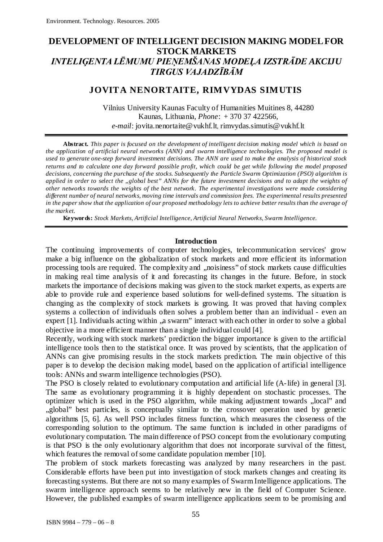# **DEVELOPMENT OF INTELLIGENT DECISION MAKING MODEL FOR STOCK MARKETS** *INTELIĢENTA LĒMUMU PIEŅEMŠANAS MODEĻA IZSTRĀDE AKCIJU TIRGUS VAJADZĪBĀM*

# **JOVITA NENORTAITE, RIMVYDAS SIMUTIS**

Vilnius University Kaunas Faculty of Humanities Muitines 8, 44280 Kaunas, Lithuania, *Phone*: + 370 37 422566, *e-mail*[: jovita.nenortaite@vukhf.lt,](mailto:jovita.nenortaite@vukhf.lt) [rimvydas.simutis@vukhf.lt](mailto:rimvydas.simutis@vukhf.lt)

**Abstract.** *This paper is focused on the development of intelligent decision making model which is based on the application of artificial neural networks (ANN) and swarm intelligence technologies. The proposed model is used to generate one-step forward investment decisions. The ANN are used to make the analysis of historical stock returns and to calculate one day forward possible profit, which could be get while following the model proposed decisions, concerning the purchase of the stocks. Subsequently the Particle Swarm Optimization (PSO) algorithm is applied in order to select the "global best" ANNs for the future investment decisions and to adapt the weights of other networks towards the weights of the best network. The experimental investigations were made considering different number of neural networks, moving time intervals and commission fees. The experimental results presented in the paper show that the application of our proposed methodology lets to achieve better results than the average of the market.*

**Keywords:** *Stock Markets, Artificial Intelligence, Artificial Neural Networks, Swarm Intelligence.*

### **Introduction**

The continuing improvements of computer technologies, telecommunication services' grow make a big influence on the globalization of stock markets and more efficient its information processing tools are required. The complexity and "noisiness" of stock markets cause difficulties in making real time analysis of it and forecasting its changes in the future. Before, in stock markets the importance of decisions making was given to the stock market experts, as experts are able to provide rule and experience based solutions for well-defined systems. The situation is changing as the complexity of stock markets is growing. It was proved that having complex systems a collection of individuals often solves a problem better than an individual - even an expert [1]. Individuals acting within , a swarm" interact with each other in order to solve a global objective in a more efficient manner than a single individual could [4].

Recently, working with stock markets' prediction the bigger importance is given to the artificial intelligence tools then to the statistical once. It was proved by scientists, that the application of ANNs can give promising results in the stock markets prediction. The main objective of this paper is to develop the decision making model, based on the application of artificial intelligence tools: ANNs and swarm intelligence technologies (PSO).

The PSO is closely related to evolutionary computation and artificial life (A-life) in general [3]. The same as evolutionary programming it is highly dependent on stochastic processes. The optimizer which is used in the PSO algorithm, while making adjustment towards "local" and "global" best particles, is conceptually similar to the crossover operation used by genetic algorithms [5, 6]. As well PSO includes fitness function, which measures the closeness of the corresponding solution to the optimum. The same function is included in other paradigms of evolutionary computation. The main difference of PSO concept from the evolutionary computing is that PSO is the only evolutionary algorithm that does not incorporate survival of the fittest, which features the removal of some candidate population member [10].

The problem of stock markets forecasting was analyzed by many researchers in the past. Considerable efforts have been put into investigation of stock markets changes and creating its forecasting systems. But there are not so many examples of Swarm Intelligence applications. The swarm intelligence approach seems to be relatively new in the field of Computer Science. However, the published examples of swarm intelligence applications seem to be promising and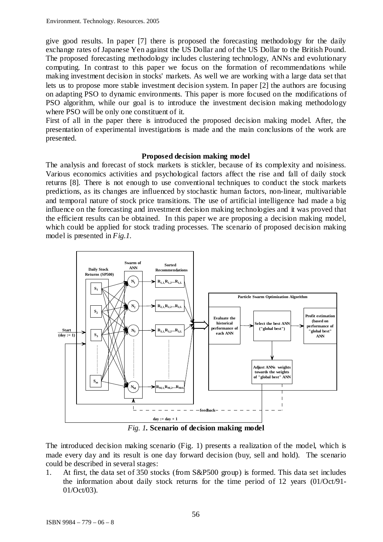give good results. In paper [7] there is proposed the forecasting methodology for the daily exchange rates of Japanese Yen against the US Dollar and of the US Dollar to the British Pound. The proposed forecasting methodology includes clustering technology, ANNs and evolutionary computing. In contrast to this paper we focus on the formation of recommendations while making investment decision in stocks' markets. As well we are working with a large data set that lets us to propose more stable investment decision system. In paper [2] the authors are focusing on adapting PSO to dynamic environments. This paper is more focused on the modifications of PSO algorithm, while our goal is to introduce the investment decision making methodology where PSO will be only one constituent of it.

First of all in the paper there is introduced the proposed decision making model. After, the presentation of experimental investigations is made and the main conclusions of the work are presented.

## **Proposed decision making model**

The analysis and forecast of stock markets is stickler, because of its complexity and noisiness. Various economics activities and psychological factors affect the rise and fall of daily stock returns [8]. There is not enough to use conventional techniques to conduct the stock markets predictions, as its changes are influenced by stochastic human factors, non-linear, multivariable and temporal nature of stock price transitions. The use of artificial intelligence had made a big influence on the forecasting and investment decision making technologies and it was proved that the efficient results can be obtained. In this paper we are proposing a decision making model, which could be applied for stock trading processes. The scenario of proposed decision making model is presented in *Fig.1.*



*Fig. 1.* **Scenario of decision making model**

The introduced decision making scenario (Fig. 1) presents a realization of the model, which is made every day and its result is one day forward decision (buy, sell and hold). The scenario could be described in several stages:

1. At first, the data set of 350 stocks (from S&P500 group) is formed. This data set includes the information about daily stock returns for the time period of 12 years (01/Oct/91- 01/Oct/03).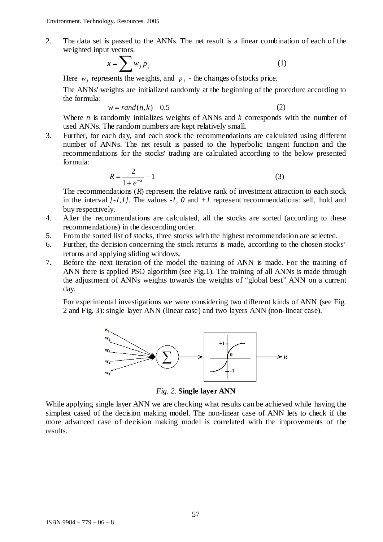2. The data set is passed to the ANNs. The net result is a linear combination of each of the weighted input vectors.

$$
x = \sum w_j p_j \tag{1}
$$

Here  $w_i$  represents the weights, and  $p_i$  - the changes of stocks price.

The ANNs' weights are initialized randomly at the beginning of the procedure according to the formula:

$$
w = rand(n,k) - 0.5\tag{2}
$$

Where *n* is randomly initializes weights of ANNs and *k* corresponds with the number of used ANNs. The random numbers are kept relatively small.

3. Further, for each day, and each stock the recommendations are calculated using different number of ANNs. The net result is passed to the hyperbolic tangent function and the recommendations for the stocks' trading are calculated according to the below presented formula:

$$
R = \frac{2}{1 + e^{-x}} - 1\tag{3}
$$

The recommendations (*R*) represent the relative rank of investment attraction to each stock in the interval *[-1,1]*. The values *-1, 0* and *+1* represent recommendations: sell, hold and buy respectively.

- 4. After the recommendations are calculated, all the stocks are sorted (according to these recommendations) in the descending order.
- 5. From the sorted list of stocks, three stocks with the highest recommendation are selected.<br>6. Further, the decision concerning the stock returns is made, according to the chosen stock
- Further, the decision concerning the stock returns is made, according to the chosen stocks' returns and applying sliding windows.
- 7. Before the next iteration of the model the training of ANN is made. For the training of ANN there is applied PSO algorithm (see Fig.1). The training of all ANNs is made through the adjustment of ANNs weights towards the weights of "global best" ANN on a current day.

For experimental investigations we were considering two different kinds of ANN (see Fig. 2 and Fig. 3): single layer ANN (linear case) and two layers ANN (non-linear case).



*Fig. 2.* **Single layer ANN**

While applying single layer ANN we are checking what results can be achieved while having the simplest cased of the decision making model. The non-linear case of ANN lets to check if the more advanced case of decision making model is correlated with the improvements of the results.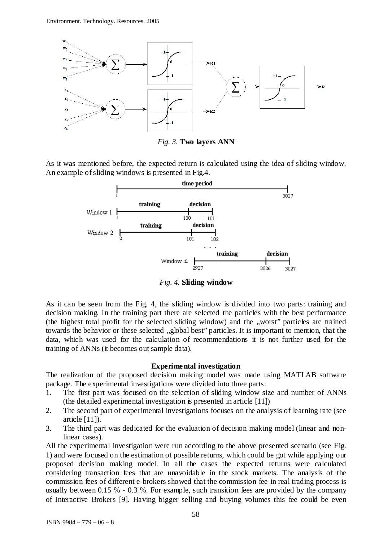

*Fig. 3.* **Two layers ANN**

As it was mentioned before, the expected return is calculated using the idea of sliding window. An example of sliding windows is presented in Fig.4.



*Fig. 4.* **Sliding window**

As it can be seen from the Fig. 4, the sliding window is divided into two parts: training and decision making. In the training part there are selected the particles with the best performance (the highest total profit for the selected sliding window) and the "worst" particles are trained towards the behavior or these selected "global best" particles. It is important to mention, that the data, which was used for the calculation of recommendations it is not further used for the training of ANNs (it becomes out sample data).

## **Experimental investigation**

The realization of the proposed decision making model was made using MATLAB software package. The experimental investigations were divided into three parts:

- 1. The first part was focused on the selection of sliding window size and number of ANNs (the detailed experimental investigation is presented in article [11])
- 2. The second part of experimental investigations focuses on the analysis of learning rate (see article [11]).
- 3. The third part was dedicated for the evaluation of decision making model (linear and nonlinear cases).

All the experimental investigation were run according to the above presented scenario (see Fig. 1) and were focused on the estimation of possible returns, which could be got while applying our proposed decision making model. In all the cases the expected returns were calculated considering transaction fees that are unavoidable in the stock markets. The analysis of the commission fees of different e-brokers showed that the commission fee in real trading process is usually between 0.15 % - 0.3 %. For example, such transition fees are provided by the company of Interactive Brokers [9]. Having bigger selling and buying volumes this fee could be even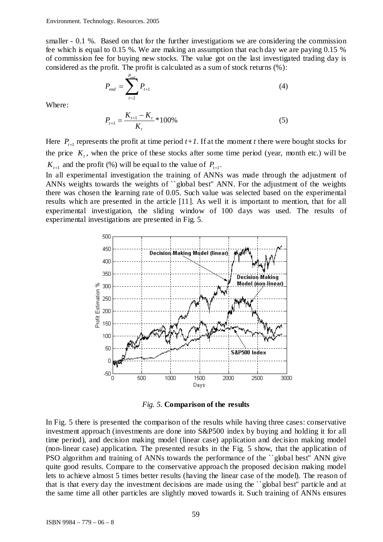smaller - 0.1 %. Based on that for the further investigations we are considering the commission fee which is equal to 0.15 %. We are making an assumption that each day we are paying 0.15 % of commission fee for buying new stocks. The value got on the last investigated trading day is considered as the profit. The profit is calculated as a sum of stock returns (%):

$$
P_{end} = \sum_{t=2}^{P_{end}} P_{t+1}
$$
 (4)

Where:

$$
P_{t+1} = \frac{K_{t+1} - K_t}{K_t} * 100\%
$$
\n<sup>(5)</sup>

Here  $P_{t+1}$  represents the profit at time period  $t+1$ . If at the moment *t* there were bought stocks for the price  $K_t$ , when the price of these stocks after some time period (year, month etc.) will be  $K_{t+1}$  and the profit (%) will be equal to the value of  $P_{t+1}$ .

In all experimental investigation the training of ANNs was made through the adjustment of ANNs weights towards the weights of ``global best'' ANN. For the adjustment of the weights there was chosen the learning rate of 0.05. Such value was selected based on the experimental results which are presented in the article [11]. As well it is important to mention, that for all experimental investigation, the sliding window of 100 days was used. The results of experimental investigations are presented in Fig. 5.



*Fig. 5.* **Comparison of the results**

In Fig. 5 there is presented the comparison of the results while having three cases: conservative investment approach (investments are done into S&P500 index by buying and holding it for all time period), and decision making model (linear case) application and decision making model (non-linear case) application. The presented results in the Fig. 5 show, that the application of PSO algorithm and training of ANNs towards the performance of the ``global best'' ANN give quite good results. Compare to the conservative approach the proposed decision making model lets to achieve almost 5 times better results (having the linear case of the model). The reason of that is that every day the investment decisions are made using the ``global best'' particle and at the same time all other particles are slightly moved towards it. Such training of ANNs ensures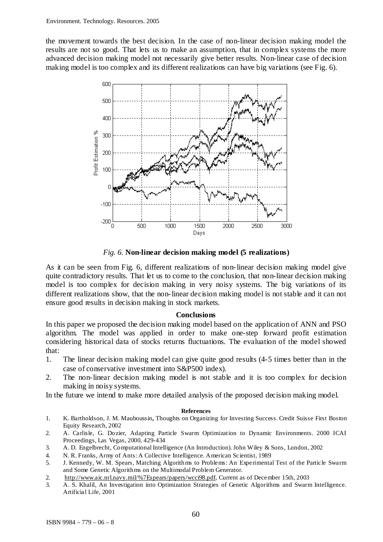the movement towards the best decision. In the case of non-linear decision making model the results are not so good. That lets us to make an assumption, that in complex systems the more advanced decision making model not necessarily give better results. Non-linear case of decision making model is too complex and its different realizations can have big variations (see Fig. 6).



*Fig. 6.* **Non-linear decision making model (5 realizations)**

As it can be seen from Fig. 6, different realizations of non-linear decision making model give quite contradictory results. That let us to come to the conclusion, that non-linear decision making model is too complex for decision making in very noisy systems. The big variations of its different realizations show, that the non-linear decision making model is not stable and it can not ensure good results in decision making in stock markets.

## **Conclusions**

In this paper we proposed the decision making model based on the application of ANN and PSO algorithm. The model was applied in order to make one-step forward profit estimation considering historical data of stocks returns fluctuations. The evaluation of the model showed that:

- 1. The linear decision making model can give quite good results (4-5 times better than in the case of conservative investment into S&P500 index).
- 2. The non-linear decision making model is not stable and it is too complex for decision making in noisy systems.

In the future we intend to make more detailed analysis of the proposed decision making model.

### **References**

- 1. K. Bartholdson, J. M. Mauboussin**,** Thoughts on Organizing for Investing Success. Credit Suisse First Boston Equity Research, 2002
- 2. A. Carlisle, G. Dozier, Adapting Particle Swarm Optimization to Dynamic Environments. 2000 ICAI Proceedings, Las Vegas, 2000, 429-434
- 3. A. D. Engelbrecht, Computational Intelligence (An Introduction). John Wiley & Sons, London, 2002
- 4. N. R. Franks, Army of Ants: A Collective Intelligence. American Scientist, 1989
- 5. J. Kennedy, W. M. Spears, Matching Algorithms to Problems: An Experimental Test of the Particle Swarm and Some Genetic Algorithms on the Multimodal Problem Generator.
- 2. [http://www.aic.nrl.navy.mil/%7Espears/papers/wcci98.pdf,](http://www.aic.nrl.navy.mil/~spears/papers/wcci98.pdf) Current as of December 15th, 2003
- 3. A. S. Khalil, An Investigation into Optimization Strategies of Genetic Algorithms and Swarm Intelligence. Artificial Life, 2001